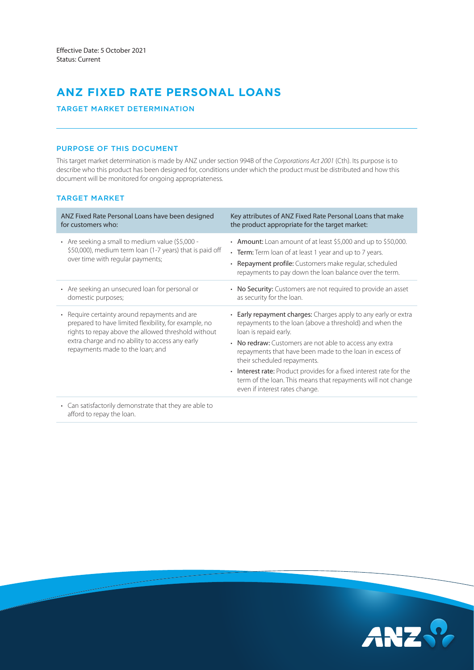# **ANZ FIXED RATE PERSONAL LOANS**

# TARGET MARKET DETERMINATION

# PURPOSE OF THIS DOCUMENT

This target market determination is made by ANZ under section 994B of the *Corporations Act 2001* (Cth). Its purpose is to describe who this product has been designed for, conditions under which the product must be distributed and how this document will be monitored for ongoing appropriateness.

# TARGET MARKET

| ANZ Fixed Rate Personal Loans have been designed<br>for customers who:                                                                                                                                                                               | Key attributes of ANZ Fixed Rate Personal Loans that make<br>the product appropriate for the target market:                                                                                                                                  |
|------------------------------------------------------------------------------------------------------------------------------------------------------------------------------------------------------------------------------------------------------|----------------------------------------------------------------------------------------------------------------------------------------------------------------------------------------------------------------------------------------------|
| • Are seeking a small to medium value (\$5,000 -<br>\$50,000), medium term loan (1-7 years) that is paid off<br>over time with regular payments;                                                                                                     | • Amount: Loan amount of at least \$5,000 and up to \$50,000.<br>• Term: Term loan of at least 1 year and up to 7 years.<br>• Repayment profile: Customers make regular, scheduled<br>repayments to pay down the loan balance over the term. |
| • Are seeking an unsecured loan for personal or<br>domestic purposes;                                                                                                                                                                                | • No Security: Customers are not required to provide an asset<br>as security for the loan.                                                                                                                                                   |
| • Require certainty around repayments and are<br>prepared to have limited flexibility, for example, no<br>rights to repay above the allowed threshold without<br>extra charge and no ability to access any early<br>repayments made to the loan; and | • Early repayment charges: Charges apply to any early or extra<br>repayments to the loan (above a threshold) and when the<br>loan is repaid early.                                                                                           |
|                                                                                                                                                                                                                                                      | • No redraw: Customers are not able to access any extra<br>repayments that have been made to the loan in excess of<br>their scheduled repayments.                                                                                            |
|                                                                                                                                                                                                                                                      | • Interest rate: Product provides for a fixed interest rate for the<br>term of the loan. This means that repayments will not change<br>even if interest rates change.                                                                        |
| Can satisfactorily demonstrate that they are able to<br>$\bullet$<br>afford to repay the loan.                                                                                                                                                       |                                                                                                                                                                                                                                              |

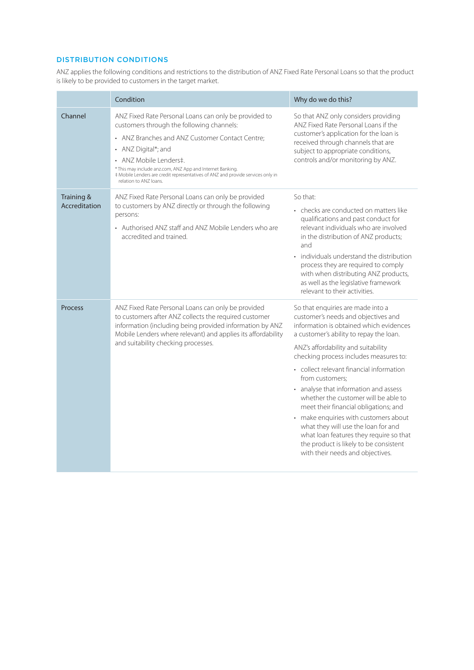# DISTRIBUTION CONDITIONS

ANZ applies the following conditions and restrictions to the distribution of ANZ Fixed Rate Personal Loans so that the product is likely to be provided to customers in the target market.

|                             | Condition                                                                                                                                                                                                                                                                                                                                                                        | Why do we do this?                                                                                                                                                                                                                                                                                                                                                                                                                                                                                                                                                                                                                                |  |
|-----------------------------|----------------------------------------------------------------------------------------------------------------------------------------------------------------------------------------------------------------------------------------------------------------------------------------------------------------------------------------------------------------------------------|---------------------------------------------------------------------------------------------------------------------------------------------------------------------------------------------------------------------------------------------------------------------------------------------------------------------------------------------------------------------------------------------------------------------------------------------------------------------------------------------------------------------------------------------------------------------------------------------------------------------------------------------------|--|
| Channel                     | ANZ Fixed Rate Personal Loans can only be provided to<br>customers through the following channels:<br>• ANZ Branches and ANZ Customer Contact Centre;<br>• ANZ Digital*; and<br>• ANZ Mobile Lenders‡.<br>* This may include anz.com, ANZ App and Internet Banking.<br># Mobile Lenders are credit representatives of ANZ and provide services only in<br>relation to ANZ loans. | So that ANZ only considers providing<br>ANZ Fixed Rate Personal Loans if the<br>customer's application for the loan is<br>received through channels that are<br>subject to appropriate conditions,<br>controls and/or monitoring by ANZ.                                                                                                                                                                                                                                                                                                                                                                                                          |  |
| Training &<br>Accreditation | ANZ Fixed Rate Personal Loans can only be provided<br>to customers by ANZ directly or through the following<br>persons:<br>• Authorised ANZ staff and ANZ Mobile Lenders who are<br>accredited and trained                                                                                                                                                                       | So that:<br>• checks are conducted on matters like<br>qualifications and past conduct for<br>relevant individuals who are involved<br>in the distribution of ANZ products;<br>and<br>• individuals understand the distribution<br>process they are required to comply<br>with when distributing ANZ products,<br>as well as the legislative framework<br>relevant to their activities.                                                                                                                                                                                                                                                            |  |
| Process                     | ANZ Fixed Rate Personal Loans can only be provided<br>to customers after ANZ collects the required customer<br>information (including being provided information by ANZ<br>Mobile Lenders where relevant) and applies its affordability<br>and suitability checking processes.                                                                                                   | So that enquiries are made into a<br>customer's needs and objectives and<br>information is obtained which evidences<br>a customer's ability to repay the loan.<br>ANZ's affordability and suitability<br>checking process includes measures to:<br>• collect relevant financial information<br>from customers:<br>• analyse that information and assess<br>whether the customer will be able to<br>meet their financial obligations; and<br>• make enquiries with customers about<br>what they will use the loan for and<br>what loan features they require so that<br>the product is likely to be consistent<br>with their needs and objectives. |  |